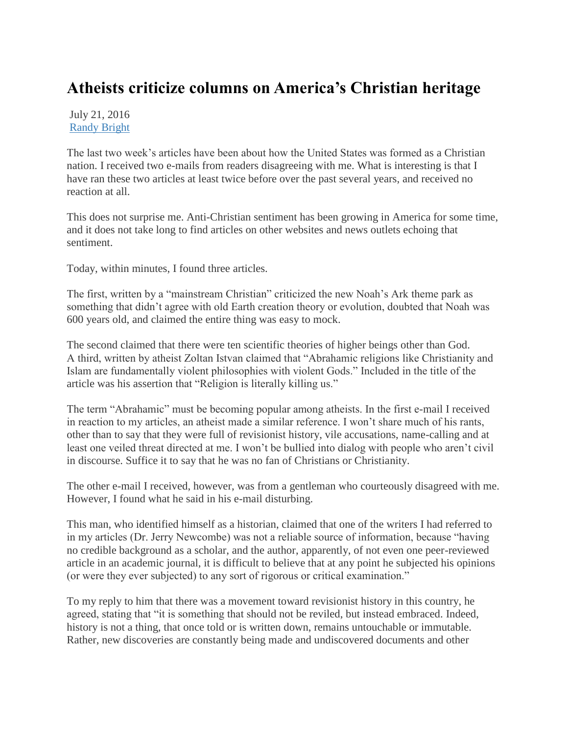## **Atheists criticize columns on America's Christian heritage**

July 21, 2016 [Randy Bright](http://tulsabeacon.com/author/randy-bright/)

The last two week's articles have been about how the United States was formed as a Christian nation. I received two e-mails from readers disagreeing with me. What is interesting is that I have ran these two articles at least twice before over the past several years, and received no reaction at all.

This does not surprise me. Anti-Christian sentiment has been growing in America for some time, and it does not take long to find articles on other websites and news outlets echoing that sentiment.

Today, within minutes, I found three articles.

The first, written by a "mainstream Christian" criticized the new Noah's Ark theme park as something that didn't agree with old Earth creation theory or evolution, doubted that Noah was 600 years old, and claimed the entire thing was easy to mock.

The second claimed that there were ten scientific theories of higher beings other than God. A third, written by atheist Zoltan Istvan claimed that "Abrahamic religions like Christianity and Islam are fundamentally violent philosophies with violent Gods." Included in the title of the article was his assertion that "Religion is literally killing us."

The term "Abrahamic" must be becoming popular among atheists. In the first e-mail I received in reaction to my articles, an atheist made a similar reference. I won't share much of his rants, other than to say that they were full of revisionist history, vile accusations, name-calling and at least one veiled threat directed at me. I won't be bullied into dialog with people who aren't civil in discourse. Suffice it to say that he was no fan of Christians or Christianity.

The other e-mail I received, however, was from a gentleman who courteously disagreed with me. However, I found what he said in his e-mail disturbing.

This man, who identified himself as a historian, claimed that one of the writers I had referred to in my articles (Dr. Jerry Newcombe) was not a reliable source of information, because "having no credible background as a scholar, and the author, apparently, of not even one peer-reviewed article in an academic journal, it is difficult to believe that at any point he subjected his opinions (or were they ever subjected) to any sort of rigorous or critical examination."

To my reply to him that there was a movement toward revisionist history in this country, he agreed, stating that "it is something that should not be reviled, but instead embraced. Indeed, history is not a thing, that once told or is written down, remains untouchable or immutable. Rather, new discoveries are constantly being made and undiscovered documents and other